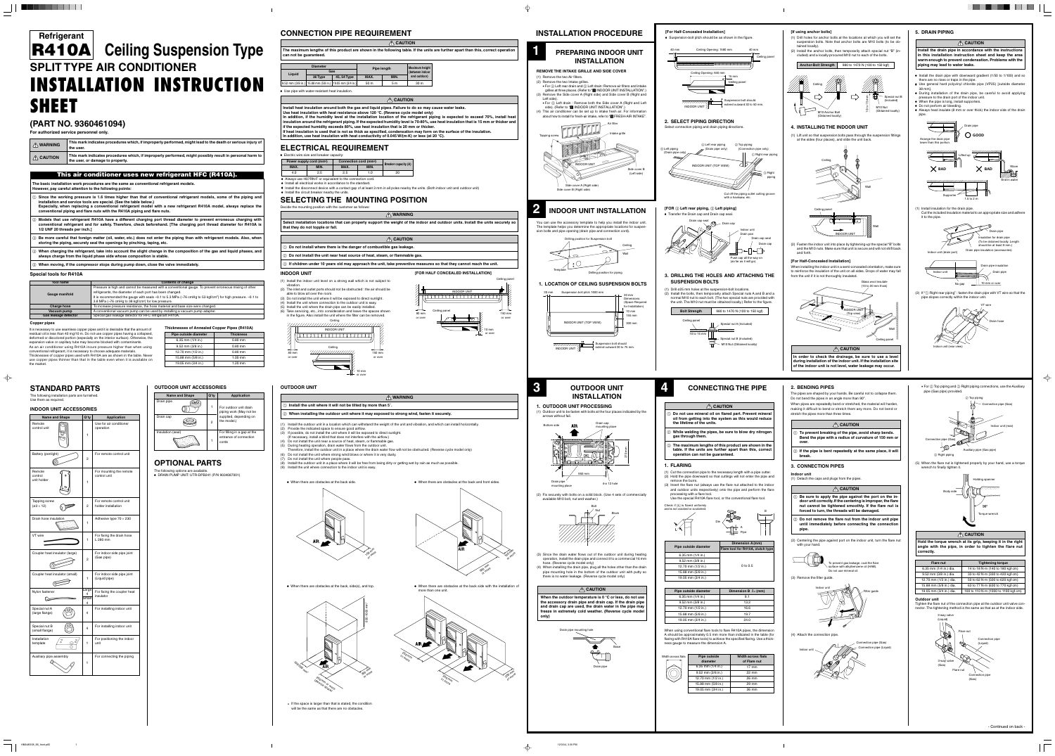# **(PART NO. 9360461094)**

**For authorized service personnel only.**

| $\bigwedge$ WARNING             | This mark indicates procedures which, if improperly performed, might lead to the death or serious injury of<br>the user.                     |
|---------------------------------|----------------------------------------------------------------------------------------------------------------------------------------------|
| $\bigwedge$ $\bigwedge$ CAUTION | This mark indicates procedures which, if improperly performed, might possibly result in personal harm to<br>the user, or damage to property. |

### **This air conditioner uses new refrigerant HFC (R410A).**

**The basic installation work procedures are the same as conventional refrigerant models. However, pay careful attention to the following points:**

- 1 **Since the working pressure is 1.6 times higher than that of conventional refrigerant models, some of the piping and installation and service tools are special. (See the table below.) Especially, when replacing a conventional refrigerant model with a new refrigerant R410A model, always replace the**
- **conventional piping and flare nuts with the R410A piping and flare nuts.** 2 **Models that use refrigerant R410A have a different charging port thread diameter to prevent erroneous charging with conventional refrigerant and for safety. Therefore, check beforehand. [The charging port thread diameter for R410A is 1/2 UNF 20 threads per inch.]**
- 3 **Be more careful that foreign matter (oil, water, etc.) does not enter the piping than with refrigerant models. Also, when storing the piping, securely seal the openings by pinching, taping, etc.**
- 4 **When charging the refrigerant, take into account the slight change in the composition of the gas and liquid phases, and always charge from the liquid phase side whose composition is stable.**

# **SPLIT TYPE AIR CONDITIONER INSTALLATION INSTRUCTION SHEET Refrigerant R410A Ceiling Suspension Type**

5 **When moving, if the compressor stops during pump down, close the valve immediately.**

### **Special tools for R410A**

#### **Copper pipes**

- Continued on back -

| Tool name            | <b>Contents of change</b>                                                                                                                                                                                                                                                                                                                                          |
|----------------------|--------------------------------------------------------------------------------------------------------------------------------------------------------------------------------------------------------------------------------------------------------------------------------------------------------------------------------------------------------------------|
| Gauge manifold       | Pressure is high and cannot be measured with a conventional gauge. To prevent erroneous mixing of other<br>refrigerants, the diameter of each port has been changed.<br>It is recommended the gauge with seals -0.1 to 5.3 MPa (-76 cmHg to 53 kgf/cm <sup>2</sup> ) for high pressure. -0.1 to<br>3.8 MPa (-76 cmHg to 38 kgf/cm <sup>2</sup> ) for low pressure. |
| <b>Charge hose</b>   | To increase pressure resistance, the hose material and base size were changed.                                                                                                                                                                                                                                                                                     |
| Vacuum pump          | A conventional vacuum pump can be used by installing a vacuum pump adapter.                                                                                                                                                                                                                                                                                        |
| Gas leakage detector | Special gas leakage detector for HFC refrigerant R410A.                                                                                                                                                                                                                                                                                                            |

**Install heat insulation around both the gas and liquid pipes. Failure to do so may cause water leaks. Use heat insulation with heat resistance above 120 °C. (Reverse cycle model only) In addition, if the humidity level at the installation location of the refrigerant piping is expected to exceed 70%, install heat insulation around the refrigerant piping. If the expected humidity level is 70-80%, use heat insulation that is 15 mm or thicker and if the expected humidity exceeds 80%, use heat insulation that is 20 mm or thicker. If heat insulation is used that is not as thick as specified, condensation may form on the surface of the insulation. In addition, use heat insulation with heat conductivity of 0.045 W/(m·K) or less (at 20 °C).** 

### **OUTDOOR UNIT**

| $\wedge$ WA                                                                    |
|--------------------------------------------------------------------------------|
| $\mid$ (i) Install the unit where it will not be tilted by more than 5°.       |
| $\vert$ $\oslash$ When installing the outdoor unit where it may exposed to sti |
|                                                                                |

- 1 Do not install where there is the danger of combustible gas leakage.
- 2 **Do not install the unit near heat source of heat, steam, or flammable gas.**
- 
- 

- (1) Install the outdoor unit in a location which can withstand the weight of the unit and vibration, and which can install horizontally. (2) Provide the indicated space to ensure good airflow.
- (3) If possible, do not install the unit where it will be exposed to direct sunlight. (If necessary, install a blind that does not interfere with the airflow.)
- (4) Do not install the unit near a source of heat, steam, or flammable gas. (5) During heating operation, drain water flows from the outdoor unit.
- Therefore, install the outdoor unit in a place where the drain water flow will not be obstructed. (Reverse cycle model only) (6) Do not install the unit where strong wind blows or where it is very dusty.
- (7) Do not install the unit where people pass.
- (8) Install the outdoor unit in a place where it will be free from being dirty or getting wet by rain as much as possible. (9) Install the unit where connection to the indoor unit is easy.
- 

# **CONNECTION PIPE REQUIREMENT**

## **ELECTRICAL REQUIREMENT**

#### 6.35 mm (1/4 in.) 9.52 mm (3/8 in.) 12.70 mm (1/2 in.) 15.88 mm (5/8 in.) 19.05 mm (3/4 in.) 0.80 mm 0.80 mm 0.80 mm 1.00 mm 1.20 mm **Pipe outside diameter Thickness**

**Thicknesses of Annealed Copper Pipes (R410A)**

# **SELECTING THE MOUNTING POSITION**

| Decide the mounting position with the customer as follows:                                                    |                  |
|---------------------------------------------------------------------------------------------------------------|------------------|
|                                                                                                               | <b>A</b> WARNING |
| Select installation locations that can properly support the weight of the<br>that they do not topple or fall. |                  |

• Use pipe with water-resistant heat insulation.

# **INDOOR UNIT**

- (1) Install the indoor unit level on a strong wall which is not subject to vibration.
- (2) The inlet and outlet ports should not be obstructed : the air should be able to blow all over the room.
- (3) Do not install the unit where it will be exposed to direct sunlight.
- (4) Install the unit where connection to the outdoor unit is easy. (5) Install the unit where the drain pipe can be easily installed.

| <b>Name and Shape</b> | Q'ty | <b>Application</b>                                             |  |
|-----------------------|------|----------------------------------------------------------------|--|
| Drain pipe            |      | For outdoor unit drain<br>piping work (May not be              |  |
| Drain cap             | 2    | supplied, depending on<br>the model.)                          |  |
| Insulation (seal)     |      | For filling in a gap at the<br>entrance of connection<br>cords |  |

The following installation parts are furnished. Use them as required

(6) Take servicing, etc., into consideration and leave the spaces shown in the figure. Also install the unit where the filter can be removed.

It is necessary to use seamless copper pipes and it is desirable that the amount of residual oil is less than 40 mg/10 m. Do not use copper pipes having a collapsed, deformed or discolored portion (especially on the interior surface). Otherwise, the expansion valve or capillary tube may become blocked with contaminants. As an air conditioner using R410A incurs pressure higher than when using conventional refrigerant, it is necessary to choose adequate materials. Thicknesses of copper pipes used with R410A are as shown in the table. Never use copper pipes thinner than that in the table even when it is available on the market.

### **OUTDOOR UNIT ACCESSORIES**

# **STANDARD PARTS**

### **INDOOR UNIT ACCESSORIES**



| <b>Name and Shape</b>              | Q'ty                     | <b>Application</b>                             |
|------------------------------------|--------------------------|------------------------------------------------|
| Remote<br>control unit             | 1                        | Use for air conditioner<br>operation           |
| Battery (penlight)                 | 2                        | For remote control unit                        |
| Remote<br>control<br>unit holder   | 1                        | For mounting the remote<br>control unit        |
| Tapping screw<br>$(63 \times 12)$  | 2                        | For remote control unit<br>holder installation |
| Drain hose insulation              | 1                        | Adhesive type $70 \times 230$                  |
| VT wire                            | 1                        | For fixing the drain hose<br>L 280 mm          |
| Coupler heat insulator (large)     | 2                        | For indoor side pipe joint<br>(Gas pipe)       |
| Coupler heat insulator (small)     | 1                        | For indoor side pipe joint<br>(Liquid pipe)    |
| Nylon fastener                     | Large<br>4<br>Small<br>4 | For fixing the coupler heat<br>insulator       |
| Special nut A<br>(large flange)    | 4                        | For installing indoor unit                     |
| Special nut B<br>(small flange)    | 4                        | For installing indoor unit                     |
| Installation<br>$\sim$<br>template | 1                        | For positioning the indoor<br>unit             |
| Auxiliary pipe assembly            | 1                        | For connecting the piping                      |

|                                      | • Electric wire size and breaker capacity: |                                    |      |      |                             |
|--------------------------------------|--------------------------------------------|------------------------------------|------|------|-----------------------------|
| Power supply cord (mm <sup>2</sup> ) |                                            | Connection cord (mm <sup>2</sup> ) |      |      |                             |
|                                      | MAX.                                       | MIN.                               | MAX. | MIN. | <b>Breaker capacity (A)</b> |
|                                      | 4.0                                        | 2.5                                | 2.5  | 1.0  | 20                          |
|                                      |                                            |                                    |      |      |                             |

# **OPTIONAL PARTS**

The following options are available. • DRAIN PUMP UNIT: UTR-DPB241 (P/N 9034087001)







or over

| The maximum lengths of this product are shown in the following<br>can not be guaranteed. |                                        |                         |                    |                |
|------------------------------------------------------------------------------------------|----------------------------------------|-------------------------|--------------------|----------------|
|                                                                                          |                                        |                         |                    |                |
| <b>Diameter</b>                                                                          |                                        |                         |                    |                |
| Liquid                                                                                   | Gas                                    |                         | <b>Pipe length</b> |                |
|                                                                                          | 36 Type                                | 45, 54 Type             | MAX.               | MIN.           |
|                                                                                          | 9.52 mm (3/8 in.)   15.88 mm (5/8 in.) | $ 19.05$ mm $(3/4$ in.) | 50 m               | 5 <sub>m</sub> |
|                                                                                          |                                        |                         |                    |                |

- Always use H07RN-F or equivalent to the connection cord.
- Install all electrical works in accordance to the standard.
- Install the circuit breaker nearby the units.

\* If the space is larger than that is stated, the condition will be the same as that there are no obstacles.